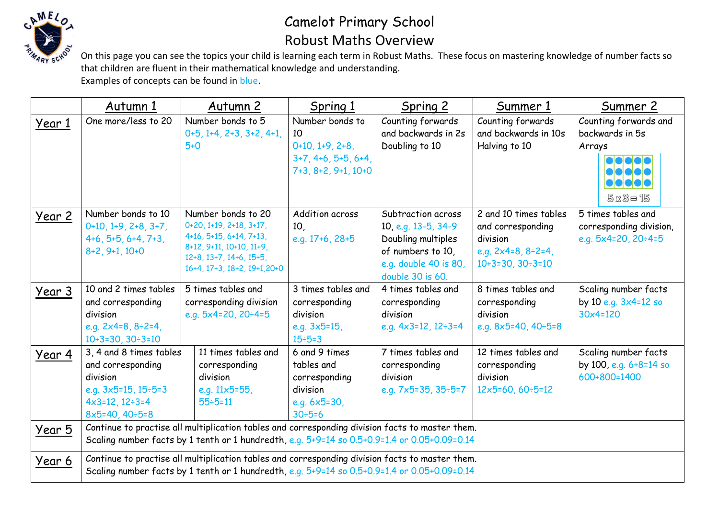

## Camelot Primary School Robust Maths Overview

On this page you can see the topics your child is learning each term in Robust Maths. These focus on mastering knowledge of number facts so that children are fluent in their mathematical knowledge and understanding. Examples of concepts can be found in blue.

|               | Autumn 1                                                                                                                                                                                        | Autumn 2                                                                                                                                                        | Spring 1                                                                                       | Spring 2                                                                                                                          | Summer 1                                                                                                       | <u>Summer 2</u>                                                                |
|---------------|-------------------------------------------------------------------------------------------------------------------------------------------------------------------------------------------------|-----------------------------------------------------------------------------------------------------------------------------------------------------------------|------------------------------------------------------------------------------------------------|-----------------------------------------------------------------------------------------------------------------------------------|----------------------------------------------------------------------------------------------------------------|--------------------------------------------------------------------------------|
| Year 1        | One more/less to 20                                                                                                                                                                             | Number bonds to 5<br>$0+5, 1+4, 2+3, 3+2, 4+1,$<br>$5 + 0$                                                                                                      | Number bonds to<br>10<br>$0+10, 1+9, 2+8,$<br>$3+7, 4+6, 5+5, 6+4,$<br>$7+3, 8+2, 9+1, 10+0$   | Counting forwards<br>and backwards in 2s<br>Doubling to 10                                                                        | Counting forwards<br>and backwards in 10s<br>Halving to 10                                                     | Counting forwards and<br>backwards in 5s<br>Arrays<br>$5x3 = 15$               |
| <u>Year 2</u> | Number bonds to 10<br>$0+10, 1+9, 2+8, 3+7,$<br>$4+6, 5+5, 6+4, 7+3,$<br>$8+2, 9+1, 10+0$                                                                                                       | Number bonds to 20<br>0+20, 1+19, 2+18, 3+17,<br>4+16, 5+15, 6+14, 7+13,<br>8+12, 9+11, 10+10, 11+9,<br>12+8, 13+7, 14+6, 15+5,<br>16+4, 17+3, 18+2, 19+1, 20+0 | Addition across<br>10 <sub>l</sub><br>e.g. $17+6$ , $28+5$                                     | Subtraction across<br>10, e.g. 13-5, 34-9<br>Doubling multiples<br>of numbers to 10,<br>e.g. double 40 is 80,<br>double 30 is 60. | 2 and 10 times tables<br>and corresponding<br>division<br>e.g. $2x4=8, 8\div 2=4$ ,<br>$10+3=30, 30 \div 3=10$ | 5 times tables and<br>corresponding division,<br>e.g. $5x4=20$ , $20 \div 4=5$ |
| Year 3        | 10 and 2 times tables<br>and corresponding<br>division<br>e.g. $2x4=8, 8\div 2=4$ ,<br>$10+3=30, 30 \div 3=10$                                                                                  | 5 times tables and<br>corresponding division<br>e.g. $5x4=20$ , $20 \div 4=5$                                                                                   | 3 times tables and<br>corresponding<br>division<br>e.g. $3 \times 5 = 15$ ,<br>$15 \div 5 = 3$ | 4 times tables and<br>corresponding<br>division<br>e.g. $4 \times 3 = 12$ , $12 \div 3 = 4$                                       | 8 times tables and<br>corresponding<br>division<br>e.g. $8x5=40, 40=5=8$                                       | Scaling number facts<br>by 10 e.g. $3 \times 4 = 12$ so<br>$30x4=120$          |
| Year 4        | 3, 4 and 8 times tables<br>and corresponding<br>division<br>e.g. $3x5=15$ , $15\div 5=3$<br>$4x3=12, 12\div 3=4$<br>$8x5=40, 40 \div 5=8$                                                       | 11 times tables and<br>corresponding<br>division<br>e.g. $11 \times 5 = 55$ ,<br>$55 \div 5 = 11$                                                               | 6 and 9 times<br>tables and<br>corresponding<br>division<br>e.g. $6x5=30$ ,<br>$30 \div 5 = 6$ | 7 times tables and<br>corresponding<br>division<br>e.g. $7x5=35, 35 \div 5=7$                                                     | 12 times tables and<br>corresponding<br>division<br>$12x5=60, 60 \div 5=12$                                    | Scaling number facts<br>by 100, e.g. 6+8=14 so<br>600+800=1400                 |
| Year 5        | Continue to practise all multiplication tables and corresponding division facts to master them.<br>Scaling number facts by 1 tenth or 1 hundredth, e.g. 5+9=14 so 0.5+0.9=1.4 or 0.05+0.09=0.14 |                                                                                                                                                                 |                                                                                                |                                                                                                                                   |                                                                                                                |                                                                                |
| Year 6        | Continue to practise all multiplication tables and corresponding division facts to master them.<br>Scaling number facts by 1 tenth or 1 hundredth, e.g. 5+9=14 so 0.5+0.9=1.4 or 0.05+0.09=0.14 |                                                                                                                                                                 |                                                                                                |                                                                                                                                   |                                                                                                                |                                                                                |